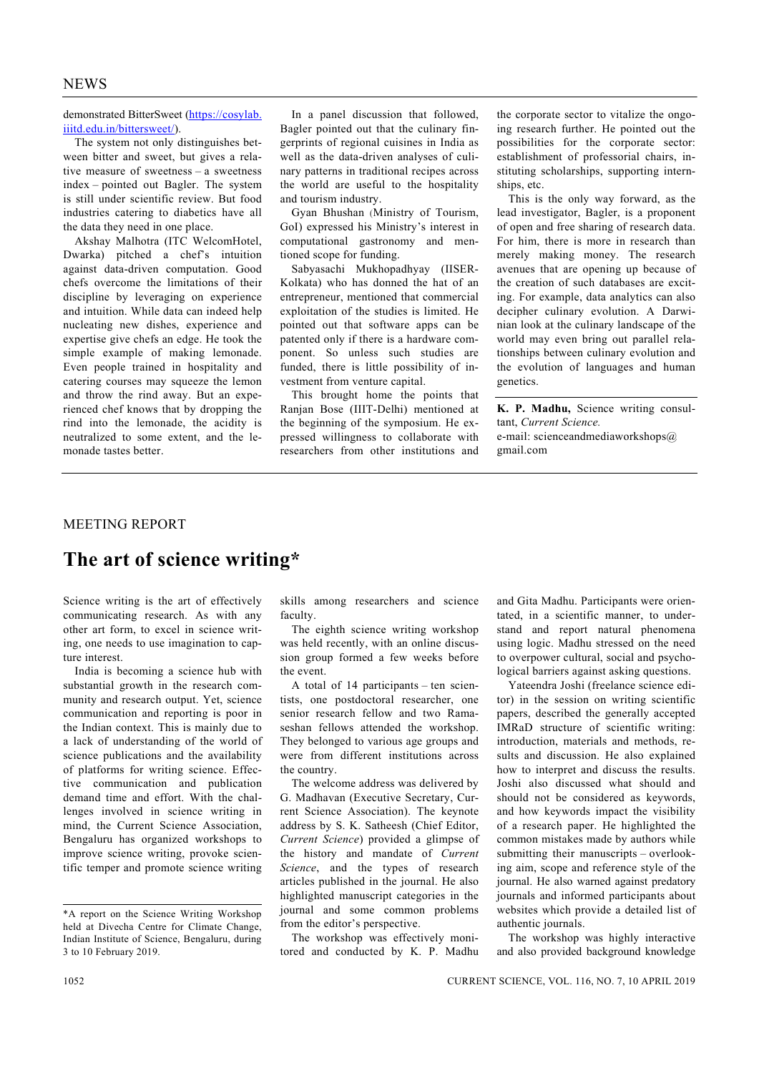demonstrated BitterSweet (https://cosylab. iiitd.edu.in/bittersweet/).

 The system not only distinguishes between bitter and sweet, but gives a relative measure of sweetness – a sweetness index – pointed out Bagler. The system is still under scientific review. But food industries catering to diabetics have all the data they need in one place.

 Akshay Malhotra (ITC WelcomHotel, Dwarka) pitched a chef's intuition against data-driven computation. Good chefs overcome the limitations of their discipline by leveraging on experience and intuition. While data can indeed help nucleating new dishes, experience and expertise give chefs an edge. He took the simple example of making lemonade. Even people trained in hospitality and catering courses may squeeze the lemon and throw the rind away. But an experienced chef knows that by dropping the rind into the lemonade, the acidity is neutralized to some extent, and the lemonade tastes better.

 In a panel discussion that followed, Bagler pointed out that the culinary fingerprints of regional cuisines in India as well as the data-driven analyses of culinary patterns in traditional recipes across the world are useful to the hospitality and tourism industry.

 Gyan Bhushan (Ministry of Tourism, GoI) expressed his Ministry's interest in computational gastronomy and mentioned scope for funding.

 Sabyasachi Mukhopadhyay (IISER-Kolkata) who has donned the hat of an entrepreneur, mentioned that commercial exploitation of the studies is limited. He pointed out that software apps can be patented only if there is a hardware component. So unless such studies are funded, there is little possibility of investment from venture capital.

 This brought home the points that Ranjan Bose (IIIT-Delhi) mentioned at the beginning of the symposium. He expressed willingness to collaborate with researchers from other institutions and

the corporate sector to vitalize the ongoing research further. He pointed out the possibilities for the corporate sector: establishment of professorial chairs, instituting scholarships, supporting internships, etc.

 This is the only way forward, as the lead investigator, Bagler, is a proponent of open and free sharing of research data. For him, there is more in research than merely making money. The research avenues that are opening up because of the creation of such databases are exciting. For example, data analytics can also decipher culinary evolution. A Darwinian look at the culinary landscape of the world may even bring out parallel relationships between culinary evolution and the evolution of languages and human genetics.

**K. P. Madhu,** Science writing consultant, *Current Science.* e-mail: scienceandmediaworkshops@ gmail.com

## MEETING REPORT

## **The art of science writing\***

Science writing is the art of effectively communicating research. As with any other art form, to excel in science writing, one needs to use imagination to capture interest.

 India is becoming a science hub with substantial growth in the research community and research output. Yet, science communication and reporting is poor in the Indian context. This is mainly due to a lack of understanding of the world of science publications and the availability of platforms for writing science. Effective communication and publication demand time and effort. With the challenges involved in science writing in mind, the Current Science Association, Bengaluru has organized workshops to improve science writing, provoke scientific temper and promote science writing skills among researchers and science faculty.

 The eighth science writing workshop was held recently, with an online discussion group formed a few weeks before the event.

 A total of 14 participants – ten scientists, one postdoctoral researcher, one senior research fellow and two Ramaseshan fellows attended the workshop. They belonged to various age groups and were from different institutions across the country.

 The welcome address was delivered by G. Madhavan (Executive Secretary, Current Science Association). The keynote address by S. K. Satheesh (Chief Editor, *Current Science*) provided a glimpse of the history and mandate of *Current Science*, and the types of research articles published in the journal. He also highlighted manuscript categories in the journal and some common problems from the editor's perspective.

 The workshop was effectively monitored and conducted by K. P. Madhu and Gita Madhu. Participants were orientated, in a scientific manner, to understand and report natural phenomena using logic. Madhu stressed on the need to overpower cultural, social and psychological barriers against asking questions.

 Yateendra Joshi (freelance science editor) in the session on writing scientific papers, described the generally accepted IMRaD structure of scientific writing: introduction, materials and methods, results and discussion. He also explained how to interpret and discuss the results. Joshi also discussed what should and should not be considered as keywords, and how keywords impact the visibility of a research paper. He highlighted the common mistakes made by authors while submitting their manuscripts – overlooking aim, scope and reference style of the journal. He also warned against predatory journals and informed participants about websites which provide a detailed list of authentic journals.

 The workshop was highly interactive and also provided background knowledge

<sup>\*</sup>A report on the Science Writing Workshop held at Divecha Centre for Climate Change, Indian Institute of Science, Bengaluru, during 3 to 10 February 2019.